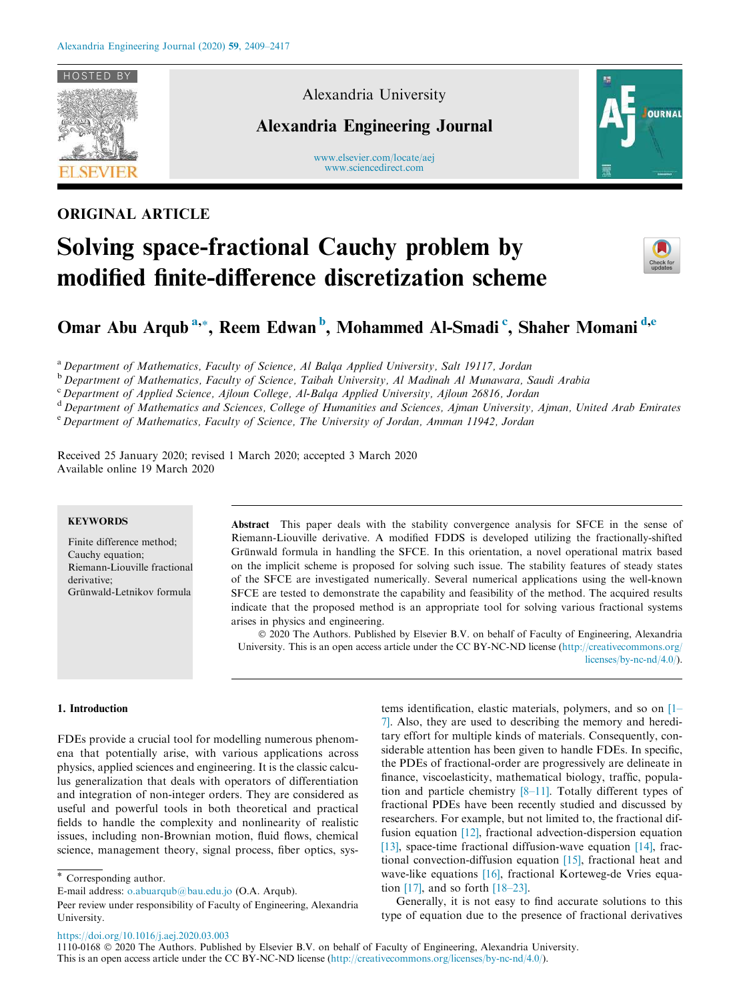

## ORIGINAL ARTICLE

### Alexandria University

## Alexandria Engineering Journal

www.elsevier.com/locate/aej www.sciencedirect.com



# Solving space-fractional Cauchy problem by modified finite-difference discretization scheme



## Omar Abu Arqub<sup>a,\*</sup>, Reem Edwan<sup>b</sup>, Mohammed Al-Smadi<sup>c</sup>, Shaher Momani<sup>d,e</sup>

a Department of Mathematics, Faculty of Science, Al Balqa Applied University, Salt 19117, Jordan

<sup>b</sup> Department of Mathematics, Faculty of Science, Taibah University, Al Madinah Al Munawara, Saudi Arabia

<sup>c</sup> Department of Applied Science, Ajloun College, Al-Balqa Applied University, Ajloun 26816, Jordan

<sup>d</sup> Department of Mathematics and Sciences, College of Humanities and Sciences, Ajman University, Ajman, United Arab Emirates <sup>e</sup> Department of Mathematics, Faculty of Science, The University of Jordan, Amman 11942, Jordan

Received 25 January 2020; revised 1 March 2020; accepted 3 March 2020 Available online 19 March 2020

#### **KEYWORDS**

Finite difference method; Cauchy equation; Riemann-Liouville fractional derivative; Grünwald-Letnikov formula

Abstract This paper deals with the stability convergence analysis for SFCE in the sense of Riemann-Liouville derivative. A modified FDDS is developed utilizing the fractionally-shifted Grünwald formula in handling the SFCE. In this orientation, a novel operational matrix based on the implicit scheme is proposed for solving such issue. The stability features of steady states of the SFCE are investigated numerically. Several numerical applications using the well-known SFCE are tested to demonstrate the capability and feasibility of the method. The acquired results indicate that the proposed method is an appropriate tool for solving various fractional systems arises in physics and engineering.

 2020 The Authors. Published by Elsevier B.V. on behalf of Faculty of Engineering, Alexandria University. This is an open access article under the CC BY-NC-ND license (http://creativecommons.org/ licenses/by-nc-nd/4.0/).

#### 1. Introduction

FDEs provide a crucial tool for modelling numerous phenomena that potentially arise, with various applications across physics, applied sciences and engineering. It is the classic calculus generalization that deals with operators of differentiation and integration of non-integer orders. They are considered as useful and powerful tools in both theoretical and practical fields to handle the complexity and nonlinearity of realistic issues, including non-Brownian motion, fluid flows, chemical science, management theory, signal process, fiber optics, systems identification, elastic materials, polymers, and so on [1– 7]. Also, they are used to describing the memory and hereditary effort for multiple kinds of materials. Consequently, considerable attention has been given to handle FDEs. In specific, the PDEs of fractional-order are progressively are delineate in finance, viscoelasticity, mathematical biology, traffic, population and particle chemistry [8–11]. Totally different types of fractional PDEs have been recently studied and discussed by researchers. For example, but not limited to, the fractional diffusion equation [12], fractional advection-dispersion equation [13], space-time fractional diffusion-wave equation [14], fractional convection-diffusion equation [15], fractional heat and wave-like equations [16], fractional Korteweg-de Vries equation [17], and so forth [18–23].

Generally, it is not easy to find accurate solutions to this type of equation due to the presence of fractional derivatives

https://doi.org/10.1016/j.aej.2020.03.003

1110-0168 2020 The Authors. Published by Elsevier B.V. on behalf of Faculty of Engineering, Alexandria University. This is an open access article under the CC BY-NC-ND license (http://creativecommons.org/licenses/by-nc-nd/4.0/).

<sup>\*</sup> Corresponding author.

E-mail address: o.abuarqub@bau.edu.jo (O.A. Arqub).

Peer review under responsibility of Faculty of Engineering, Alexandria University.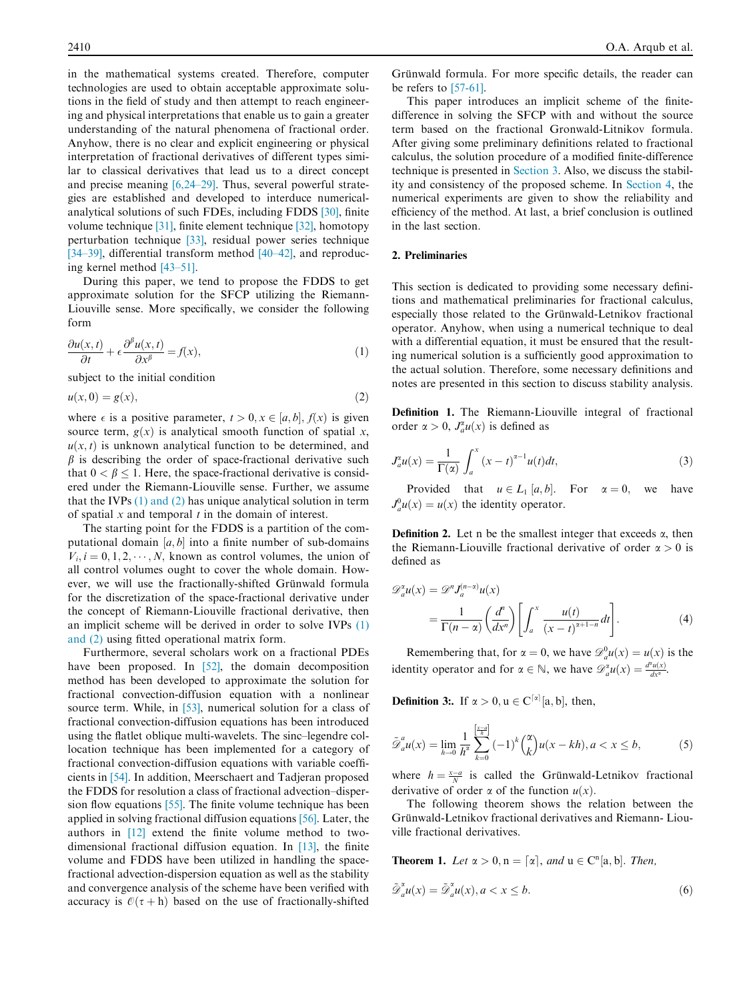in the mathematical systems created. Therefore, computer technologies are used to obtain acceptable approximate solutions in the field of study and then attempt to reach engineering and physical interpretations that enable us to gain a greater understanding of the natural phenomena of fractional order. Anyhow, there is no clear and explicit engineering or physical interpretation of fractional derivatives of different types similar to classical derivatives that lead us to a direct concept and precise meaning [6,24–29]. Thus, several powerful strategies are established and developed to interduce numericalanalytical solutions of such FDEs, including FDDS [30], finite volume technique [31], finite element technique [32], homotopy perturbation technique [33], residual power series technique [34–39], differential transform method [40–42], and reproducing kernel method [43–51].

During this paper, we tend to propose the FDDS to get approximate solution for the SFCP utilizing the Riemann-Liouville sense. More specifically, we consider the following form

$$
\frac{\partial u(x,t)}{\partial t} + \epsilon \frac{\partial^{\beta} u(x,t)}{\partial x^{\beta}} = f(x),\tag{1}
$$

subject to the initial condition

$$
u(x,0) = g(x),\tag{2}
$$

where  $\epsilon$  is a positive parameter,  $t > 0, x \in [a, b], f(x)$  is given source term,  $g(x)$  is analytical smooth function of spatial x,  $u(x, t)$  is unknown analytical function to be determined, and  $\beta$  is describing the order of space-fractional derivative such that  $0 < \beta < 1$ . Here, the space-fractional derivative is considered under the Riemann-Liouville sense. Further, we assume that the IVPs (1) and (2) has unique analytical solution in term of spatial  $x$  and temporal  $t$  in the domain of interest.

The starting point for the FDDS is a partition of the computational domain  $[a, b]$  into a finite number of sub-domains  $V_i, i = 0, 1, 2, \dots, N$ , known as control volumes, the union of all control volumes ought to cover the whole domain. However, we will use the fractionally-shifted Grünwald formula for the discretization of the space-fractional derivative under the concept of Riemann-Liouville fractional derivative, then an implicit scheme will be derived in order to solve IVPs (1) and (2) using fitted operational matrix form.

Furthermore, several scholars work on a fractional PDEs have been proposed. In [52], the domain decomposition method has been developed to approximate the solution for fractional convection-diffusion equation with a nonlinear source term. While, in [53], numerical solution for a class of fractional convection-diffusion equations has been introduced using the flatlet oblique multi-wavelets. The sinc–legendre collocation technique has been implemented for a category of fractional convection-diffusion equations with variable coefficients in [54]. In addition, Meerschaert and Tadjeran proposed the FDDS for resolution a class of fractional advection–dispersion flow equations [55]. The finite volume technique has been applied in solving fractional diffusion equations [56]. Later, the authors in [12] extend the finite volume method to twodimensional fractional diffusion equation. In [13], the finite volume and FDDS have been utilized in handling the spacefractional advection-dispersion equation as well as the stability and convergence analysis of the scheme have been verified with accuracy is  $\mathcal{O}(\tau + h)$  based on the use of fractionally-shifted

Grünwald formula. For more specific details, the reader can be refers to [57-61].

This paper introduces an implicit scheme of the finitedifference in solving the SFCP with and without the source term based on the fractional Gronwald-Litnikov formula. After giving some preliminary definitions related to fractional calculus, the solution procedure of a modified finite-difference technique is presented in Section 3. Also, we discuss the stability and consistency of the proposed scheme. In Section 4, the numerical experiments are given to show the reliability and efficiency of the method. At last, a brief conclusion is outlined in the last section.

#### 2. Preliminaries

This section is dedicated to providing some necessary definitions and mathematical preliminaries for fractional calculus, especially those related to the Grünwald-Letnikov fractional operator. Anyhow, when using a numerical technique to deal with a differential equation, it must be ensured that the resulting numerical solution is a sufficiently good approximation to the actual solution. Therefore, some necessary definitions and notes are presented in this section to discuss stability analysis.

Definition 1. The Riemann-Liouville integral of fractional order  $\alpha > 0$ ,  $J_a^{\alpha}u(x)$  is defined as

$$
J_a^{\alpha}u(x) = \frac{1}{\Gamma(\alpha)} \int_a^x (x - t)^{\alpha - 1} u(t) dt,
$$
\n(3)

Provided that  $u \in L_1 [a, b]$ . For  $\alpha = 0$ , we have  $J_a^0 u(x) = u(x)$  the identity operator.

**Definition 2.** Let n be the smallest integer that exceeds  $\alpha$ , then the Riemann-Liouville fractional derivative of order  $\alpha > 0$  is defined as

$$
\mathcal{D}_a^x u(x) = \mathcal{D}^n J_a^{(n-x)} u(x)
$$
  
= 
$$
\frac{1}{\Gamma(n-\alpha)} \left( \frac{d^n}{dx^n} \right) \left[ \int_a^x \frac{u(t)}{(x-t)^{\alpha+1-n}} dt \right].
$$
 (4)

Remembering that, for  $\alpha = 0$ , we have  $\mathcal{D}_a^0 u(x) = u(x)$  is the identity operator and for  $\alpha \in \mathbb{N}$ , we have  $\mathscr{D}_{a}^{\alpha}u(x) = \frac{d^{\alpha}u(x)}{dx^{\alpha}}$ .

**Definition 3:.** If  $\alpha > 0$ ,  $u \in C^{\lceil \alpha \rceil}$  [a, b], then,

$$
\tilde{\mathcal{D}}_a^a u(x) = \lim_{h \to 0} \frac{1}{h^{\alpha}} \sum_{k=0}^{\left[\frac{x-a}{h}\right]} (-1)^k {x \choose k} u(x - kh), a < x \le b,\tag{5}
$$

where  $h = \frac{x-a}{N}$  is called the Grünwald-Letnikov fractional derivative of order  $\alpha$  of the function  $u(x)$ .

The following theorem shows the relation between the Grünwald-Letnikov fractional derivatives and Riemann- Liouville fractional derivatives.

**Theorem 1.** Let  $\alpha > 0$ ,  $n = \lceil \alpha \rceil$ , and  $u \in C^{n}[a, b]$ . Then,

$$
\tilde{\mathcal{D}}_a^* u(x) = \tilde{\mathcal{D}}_a^* u(x), a < x \le b. \tag{6}
$$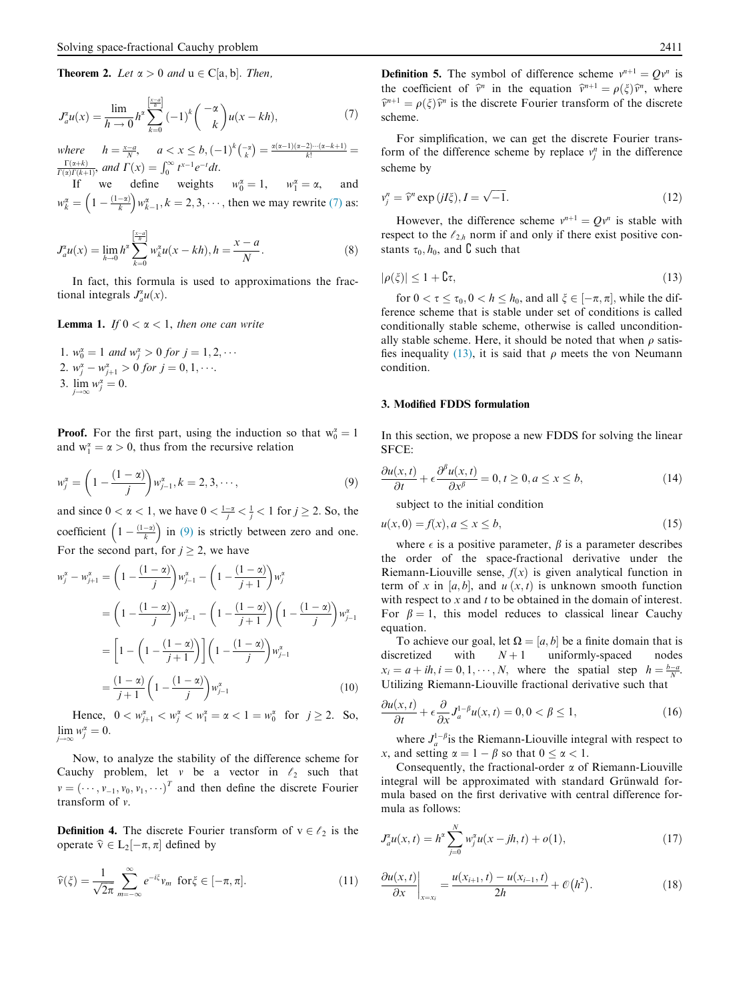**Theorem 2.** Let  $\alpha > 0$  and  $u \in C[a, b]$ . Then,

$$
J_a^{\alpha} u(x) = \frac{\lim}{h \to 0} h^{\alpha} \sum_{k=0}^{\left[\frac{x-a}{h}\right]} (-1)^k {\binom{-\alpha}{k}} u(x - kh), \tag{7}
$$

where  $h = \frac{x-a}{N}$ ,  $a < x \le b$ ,  $(-1)^k \binom{-\alpha}{k} = \frac{\alpha(\alpha-1)(\alpha-2)\cdots(\alpha-k+1)}{k!} = \frac{\Gamma(\alpha+k)}{\Gamma(\alpha)\Gamma(k+1)}$ , and  $\Gamma(x) = \int_0^\infty t^{x-1} e^{-t} dt$ .

If we define weights  $w_0^{\alpha} = 1$ ,  $w_1^{\alpha} = \alpha$ , and  $w_k^{\alpha} = \left(1 - \frac{(1 - \alpha)}{k}\right) w_{k-1}^{\alpha}, k = 2, 3, \cdots$ , then we may rewrite (7) as:

$$
J_a^z u(x) = \lim_{h \to 0} h^{\alpha} \sum_{k=0}^{\left[\frac{x-a}{h}\right]} w_k^z u(x - kh), h = \frac{x-a}{N}.
$$
 (8)

In fact, this formula is used to approximations the fractional integrals  $J_a^{\alpha}u(x)$ .

**Lemma 1.** If  $0 < \alpha < 1$ , then one can write

1.  $w_0^{\alpha} = 1$  and  $w_j^{\alpha} > 0$  for  $j = 1, 2, \cdots$ 2.  $w_j^{\alpha} - w_{j+1}^{\alpha} > 0$  for  $j = 0, 1, \cdots$ . 3.  $\lim_{j \to \infty} w_j^{\alpha} = 0.$ 

**Proof.** For the first part, using the induction so that  $w_0^{\alpha} = 1$ and  $w_1^{\alpha} = \alpha > 0$ , thus from the recursive relation

$$
w_j^{\alpha} = \left(1 - \frac{(1 - \alpha)}{j}\right) w_{j-1}^{\alpha}, k = 2, 3, \cdots,
$$
\n(9)

and since  $0 < \alpha < 1$ , we have  $0 < \frac{1-\alpha}{j} < \frac{1}{j} < 1$  for  $j \ge 2$ . So, the coefficient  $\left(1 - \frac{(1-x)}{k}\right)$  in (9) is strictly between zero and one. For the second part, for  $j > 2$ , we have

$$
w_j^{\alpha} - w_{j+1}^{\alpha} = \left(1 - \frac{(1 - \alpha)}{j}\right) w_{j-1}^{\alpha} - \left(1 - \frac{(1 - \alpha)}{j+1}\right) w_j^{\alpha}
$$
  
= 
$$
\left(1 - \frac{(1 - \alpha)}{j}\right) w_{j-1}^{\alpha} - \left(1 - \frac{(1 - \alpha)}{j+1}\right) \left(1 - \frac{(1 - \alpha)}{j}\right) w_{j-1}^{\alpha}
$$
  
= 
$$
\left[1 - \left(1 - \frac{(1 - \alpha)}{j+1}\right) \left(1 - \frac{(1 - \alpha)}{j}\right) w_{j-1}^{\alpha}\right]
$$
  
= 
$$
\frac{(1 - \alpha)}{j+1} \left(1 - \frac{(1 - \alpha)}{j}\right) w_{j-1}^{\alpha} \tag{10}
$$

Hence,  $0 < w_{j+1}^{\alpha} < w_j^{\alpha} < w_1^{\alpha} = \alpha < 1 = w_0^{\alpha}$  for  $j \ge 2$ . So,  $\lim_{j \to \infty} w_j^{\alpha} = 0.$  $j\rightarrow\infty$ 

Now, to analyze the stability of the difference scheme for Cauchy problem, let v be a vector in  $\ell_2$  such that  $v = (\cdots, v_{-1}, v_0, v_1, \cdots)^T$  and then define the discrete Fourier transform of v.

**Definition 4.** The discrete Fourier transform of  $v \in \ell_2$  is the operate  $\hat{v} \in L_2[-\pi, \pi]$  defined by

$$
\widehat{\nu}(\xi) = \frac{1}{\sqrt{2\pi}} \sum_{m=-\infty}^{\infty} e^{-i\xi} v_m \text{ for } \xi \in [-\pi, \pi].
$$
 (11)

**Definition 5.** The symbol of difference scheme  $v^{n+1} = Qv^n$  is the coefficient of  $\hat{v}^n$  in the equation  $\hat{v}^{n+1} = \rho(\xi)\hat{v}^n$ , where  $\hat{v}^{n+1} = \rho(\xi)\hat{v}^n$  is the discrete Fourier transform of the discrete scheme.

For simplification, we can get the discrete Fourier transform of the difference scheme by replace  $v_j^n$  in the difference scheme by

$$
v_j^n = \hat{v}^n \exp\left(jI\xi\right), I = \sqrt{-1}.\tag{12}
$$

However, the difference scheme  $v^{n+1} = Qv^n$  is stable with respect to the  $\ell_{2h}$  norm if and only if there exist positive constants  $\tau_0$ ,  $h_0$ , and  ${\bf C}$  such that

$$
|\rho(\xi)| \le 1 + \mathbf{C}\tau,\tag{13}
$$

for  $0 < \tau \le \tau_0$ ,  $0 < h \le h_0$ , and all  $\xi \in [-\pi, \pi]$ , while the difference scheme that is stable under set of conditions is called conditionally stable scheme, otherwise is called unconditionally stable scheme. Here, it should be noted that when  $\rho$  satisfies inequality (13), it is said that  $\rho$  meets the von Neumann condition.

#### 3. Modified FDDS formulation

In this section, we propose a new FDDS for solving the linear SFCE:

$$
\frac{\partial u(x,t)}{\partial t} + \epsilon \frac{\partial^{\beta} u(x,t)}{\partial x^{\beta}} = 0, t \ge 0, a \le x \le b,
$$
\n(14)

subject to the initial condition

$$
u(x,0) = f(x), a \le x \le b,
$$
\n<sup>(15)</sup>

where  $\epsilon$  is a positive parameter,  $\beta$  is a parameter describes the order of the space-fractional derivative under the Riemann-Liouville sense,  $f(x)$  is given analytical function in term of x in [a, b], and  $u(x, t)$  is unknown smooth function with respect to  $x$  and  $t$  to be obtained in the domain of interest. For  $\beta = 1$ , this model reduces to classical linear Cauchy equation.

To achieve our goal, let  $\Omega = [a, b]$  be a finite domain that is discretized with  $N+1$  uniformly-spaced nodes  $x_i = a + ih, i = 0, 1, \dots, N$ , where the spatial step  $h = \frac{b-a}{N}$ . Utilizing Riemann-Liouville fractional derivative such that

$$
\frac{\partial u(x,t)}{\partial t} + \epsilon \frac{\partial}{\partial x} J_a^{1-\beta} u(x,t) = 0, 0 < \beta \le 1,\tag{16}
$$

where  $J_a^{1-\beta}$  is the Riemann-Liouville integral with respect to x, and setting  $\alpha = 1 - \beta$  so that  $0 \leq \alpha < 1$ .

Consequently, the fractional-order  $\alpha$  of Riemann-Liouville integral will be approximated with standard Grünwald formula based on the first derivative with central difference formula as follows:

$$
J_a^z u(x,t) = h^z \sum_{j=0}^N w_j^z u(x - jh, t) + o(1),
$$
\n(17)

$$
\left. \frac{\partial u(x,t)}{\partial x} \right|_{x=x_i} = \frac{u(x_{i+1},t) - u(x_{i-1},t)}{2h} + \mathcal{O}(h^2). \tag{18}
$$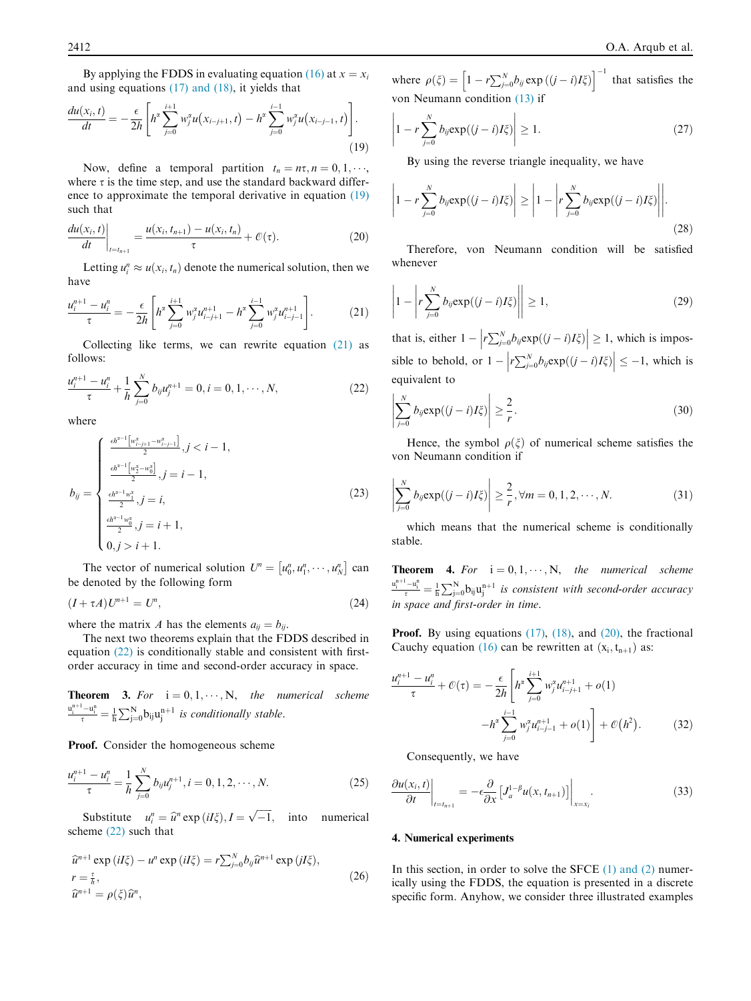By applying the FDDS in evaluating equation (16) at  $x = x_i$ and using equations (17) and (18), it yields that

$$
\frac{du(x_i, t)}{dt} = -\frac{\epsilon}{2h} \left[ h^{\alpha} \sum_{j=0}^{i+1} w_j^{\alpha} u(x_{i-j+1}, t) - h^{\alpha} \sum_{j=0}^{i-1} w_j^{\alpha} u(x_{i-j-1}, t) \right].
$$
\n(19)

Now, define a temporal partition  $t_n = n\tau, n = 0, 1, \dots,$ where  $\tau$  is the time step, and use the standard backward difference to approximate the temporal derivative in equation (19) such that

$$
\left. \frac{du(x_i, t)}{dt} \right|_{t=t_{n+1}} = \frac{u(x_i, t_{n+1}) - u(x_i, t_n)}{\tau} + \mathcal{O}(\tau). \tag{20}
$$

Letting  $u_i^n \approx u(x_i, t_n)$  denote the numerical solution, then we have

$$
\frac{u_i^{n+1} - u_i^n}{\tau} = -\frac{\epsilon}{2h} \left[ h^x \sum_{j=0}^{i+1} w_j^x u_{i-j+1}^{n+1} - h^x \sum_{j=0}^{i-1} w_j^x u_{i-j-1}^{n+1} \right].
$$
 (21)

Collecting like terms, we can rewrite equation (21) as follows:

$$
\frac{u_i^{n+1} - u_i^n}{\tau} + \frac{1}{h} \sum_{j=0}^N b_{ij} u_j^{n+1} = 0, i = 0, 1, \cdots, N,
$$
\n(22)

where

$$
b_{ij} = \begin{cases} \frac{\epsilon h^{z-1} \left[ w_{i-j+1}^z - w_{i-j-1}^z \right]}{2}, j < i-1, \\ \frac{\frac{\epsilon h^{z-1} \left[ w_2^z - w_0^z \right]}{2}, j = i-1, \\ \frac{\epsilon h^{z-1} w_1^z}{2}, j = i, \\ \frac{\frac{\epsilon h^{z-1} w_0^z}{2}}{2}, j = i+1, \\ 0, j > i+1. \end{cases}
$$
(23)

The vector of numerical solution  $U^n = [u_0^n, u_1^n, \dots, u_N^n]$  can be denoted by the following form

$$
(I + \tau A)U^{n+1} = U^n,
$$
\n<sup>(24)</sup>

where the matrix A has the elements  $a_{ij} = b_{ij}$ .

The next two theorems explain that the FDDS described in equation (22) is conditionally stable and consistent with firstorder accuracy in time and second-order accuracy in space.

**Theorem 3.** For  $i = 0, 1, \dots, N$ , the numerical scheme  $\frac{u_i^{n+1} - u_i^n}{\tau} = \frac{1}{h} \sum_{j=0}^{N} b_{ij} u_j^{n+1}$  is conditionally stable.

Proof. Consider the homogeneous scheme

$$
\frac{u_i^{n+1} - u_i^n}{\tau} = \frac{1}{h} \sum_{j=0}^N b_{ij} u_j^{n+1}, i = 0, 1, 2, \cdots, N.
$$
 (25)

Substitute  $u_i^n = \hat{u}^n \exp(iI\xi), I = \sqrt{-1}$ , into numerical scheme (22) such that

$$
\begin{aligned}\n\hat{u}^{n+1} \exp\left(iI\xi\right) - u^n \exp\left(iI\xi\right) &= r \sum_{j=0}^N b_{ij} \hat{u}^{n+1} \exp\left(jI\xi\right), \\
r &= \frac{\tau}{h}, \\
\hat{u}^{n+1} &= \rho(\xi)\hat{u}^n,\n\end{aligned} \tag{26}
$$

where  $\rho(\xi) = \left[1 - r \sum_{j=0}^{N} b_{ij} \exp((j-i)I\xi)\right]^{-1}$  that satisfies the von Neumann condition (13) if

$$
\left|1 - r \sum_{j=0}^{N} b_{ij} \exp((j-i)I\zeta)\right| \ge 1. \tag{27}
$$

By using the reverse triangle inequality, we have

$$
\left|1 - r\sum_{j=0}^{N} b_{ij} \exp((j-i)I\zeta)\right| \ge \left|1 - \left|r\sum_{j=0}^{N} b_{ij} \exp((j-i)I\zeta)\right|\right|.
$$
\n(28)

Therefore, von Neumann condition will be satisfied whenever

$$
\left|1 - \left|r\sum_{j=0}^{N} b_{ij} \exp((j-i)I\zeta)\right|\right| \ge 1, \tag{29}
$$

that is, either  $1 - \left| r \sum_{j=0}^{N} b_{ij} \exp((j - i)I\zeta) \right|$  $\vert \geq 1$ , which is impossible to behold, or  $1 - \left| r \sum_{j=0}^{N} b_{ij} \exp((j-i)I\xi) \right|$  $\vert \leq -1$ , which is equivalent to

$$
\left|\sum_{j=0}^{N} b_{ij} \exp((j-i)I\zeta)\right| \geq \frac{2}{r}.
$$
 (30)

Hence, the symbol  $\rho(\xi)$  of numerical scheme satisfies the von Neumann condition if

$$
\left|\sum_{j=0}^{N} b_{ij} \exp((j-i)I\zeta)\right| \geq \frac{2}{r}, \forall m = 0, 1, 2, \cdots, N.
$$
 (31)

which means that the numerical scheme is conditionally stable.

**Theorem 4.** For  $i = 0, 1, \dots, N$ , the numerical scheme  $\frac{u_i^{n+1}-u_i^n}{\tau} = \frac{1}{h} \sum_{j=0}^{N} b_{ij} u_j^{n+1}$  is consistent with second-order accuracy in space and first-order in time.

**Proof.** By using equations  $(17)$ ,  $(18)$ , and  $(20)$ , the fractional Cauchy equation (16) can be rewritten at  $(x_i, t_{n+1})$  as:

$$
\frac{u_i^{n+1} - u_i^n}{\tau} + \mathcal{O}(\tau) = -\frac{\epsilon}{2h} \left[ h^x \sum_{j=0}^{i+1} w_j^x u_{i-j+1}^{n+1} + o(1) -h^x \sum_{j=0}^{i-1} w_j^x u_{i-j-1}^{n+1} + o(1) \right] + \mathcal{O}(h^2).
$$
 (32)

Consequently, we have

$$
\left. \frac{\partial u(x_i, t)}{\partial t} \right|_{t=t_{n+1}} = -\epsilon \frac{\partial}{\partial x} \left[ J_a^{1-\beta} u(x, t_{n+1}) \right] \bigg|_{x=x_i}.
$$
\n(33)

#### 4. Numerical experiments

In this section, in order to solve the SFCE  $(1)$  and  $(2)$  numerically using the FDDS, the equation is presented in a discrete specific form. Anyhow, we consider three illustrated examples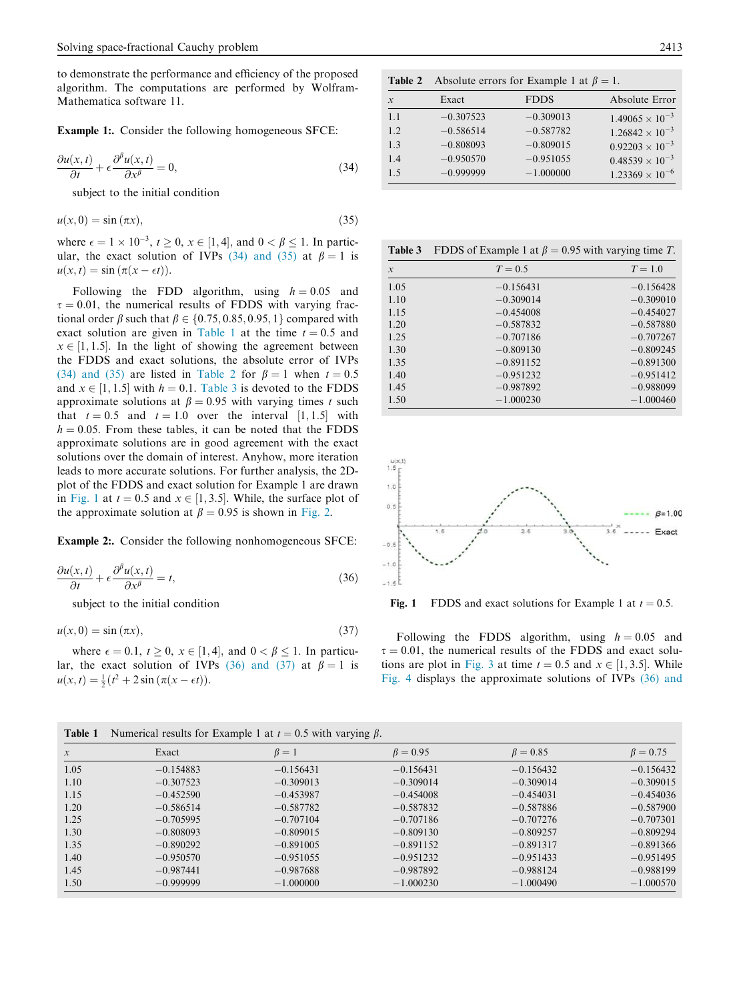to demonstrate the performance and efficiency of the proposed algorithm. The computations are performed by Wolfram-Mathematica software 11.

Example 1:. Consider the following homogeneous SFCE:

$$
\frac{\partial u(x,t)}{\partial t} + \epsilon \frac{\partial^{\beta} u(x,t)}{\partial x^{\beta}} = 0, \qquad (34)
$$

subject to the initial condition

$$
u(x,0) = \sin(\pi x),\tag{35}
$$

where  $\epsilon = 1 \times 10^{-3}$ ,  $t \ge 0$ ,  $x \in [1, 4]$ , and  $0 < \beta \le 1$ . In particular, the exact solution of IVPs (34) and (35) at  $\beta = 1$  is  $u(x, t) = \sin (\pi (x - \epsilon t)).$ 

Following the FDD algorithm, using  $h = 0.05$  and  $\tau = 0.01$ , the numerical results of FDDS with varying fractional order  $\beta$  such that  $\beta \in \{0.75, 0.85, 0.95, 1\}$  compared with exact solution are given in Table 1 at the time  $t = 0.5$  and  $x \in [1, 1.5]$ . In the light of showing the agreement between the FDDS and exact solutions, the absolute error of IVPs (34) and (35) are listed in Table 2 for  $\beta = 1$  when  $t = 0.5$ and  $x \in [1, 1.5]$  with  $h = 0.1$ . Table 3 is devoted to the FDDS approximate solutions at  $\beta = 0.95$  with varying times t such that  $t = 0.5$  and  $t = 1.0$  over the interval  $[1, 1.5]$  with  $h = 0.05$ . From these tables, it can be noted that the FDDS approximate solutions are in good agreement with the exact solutions over the domain of interest. Anyhow, more iteration leads to more accurate solutions. For further analysis, the 2Dplot of the FDDS and exact solution for Example 1 are drawn in Fig. 1 at  $t = 0.5$  and  $x \in [1, 3.5]$ . While, the surface plot of the approximate solution at  $\beta = 0.95$  is shown in Fig. 2.

Example 2:. Consider the following nonhomogeneous SFCE:

$$
\frac{\partial u(x,t)}{\partial t} + \epsilon \frac{\partial^{\beta} u(x,t)}{\partial x^{\beta}} = t,
$$
\n(36)

subject to the initial condition

 $u(x, 0) = \sin(\pi x),$  (37)

where  $\epsilon = 0.1$ ,  $t \ge 0$ ,  $x \in [1, 4]$ , and  $0 < \beta \le 1$ . In particular, the exact solution of IVPs (36) and (37) at  $\beta = 1$  is  $u(x, t) = \frac{1}{2}(t^2 + 2\sin(\pi(x - \epsilon t))).$ 

**Table 2** Absolute errors for Example 1 at  $\beta = 1$ .

| $\mathcal{X}$ | Exact       | <b>FDDS</b> | Absolute Error           |
|---------------|-------------|-------------|--------------------------|
| 1.1           | $-0.307523$ | $-0.309013$ | $1.49065 \times 10^{-3}$ |
| 1.2           | $-0.586514$ | $-0.587782$ | $1.26842 \times 10^{-3}$ |
| 1.3           | $-0.808093$ | $-0.809015$ | $0.92203 \times 10^{-3}$ |
| 1.4           | $-0.950570$ | $-0.951055$ | $0.48539 \times 10^{-3}$ |
| 1.5           | $-0.999999$ | $-1.000000$ | $1.23369 \times 10^{-6}$ |

| Table 3       | FDDS of Example 1 at $\beta$ = 0.95 with varying time T. |             |  |
|---------------|----------------------------------------------------------|-------------|--|
| $\mathcal{X}$ | $T=0.5$                                                  | $T=1.0$     |  |
| 1.05          | $-0.156431$                                              | $-0.156428$ |  |
| 1.10          | $-0.309014$                                              | $-0.309010$ |  |
| 1.15          | $-0.454008$                                              | $-0.454027$ |  |
| 1.20          | $-0.587832$                                              | $-0.587880$ |  |
| 1.25          | $-0.707186$                                              | $-0.707267$ |  |
| 1.30          | $-0.809130$                                              | $-0.809245$ |  |
| 1.35          | $-0.891152$                                              | $-0.891300$ |  |
| 1.40          | $-0.951232$                                              | $-0.951412$ |  |
| 1.45          | $-0.987892$                                              | $-0.988099$ |  |
| 1.50          | $-1.000230$                                              | $-1.000460$ |  |



Fig. 1 FDDS and exact solutions for Example 1 at  $t = 0.5$ .

Following the FDDS algorithm, using  $h = 0.05$  and  $\tau = 0.01$ , the numerical results of the FDDS and exact solutions are plot in Fig. 3 at time  $t = 0.5$  and  $x \in [1, 3.5]$ . While Fig. 4 displays the approximate solutions of IVPs (36) and

| Numerical results for Example 1 at $t = 0.5$ with varying $\beta$ .<br>Table 1 |              |             |                |                |                |
|--------------------------------------------------------------------------------|--------------|-------------|----------------|----------------|----------------|
| $\mathcal{X}$                                                                  | Exact        | $\beta=1$   | $\beta = 0.95$ | $\beta = 0.85$ | $\beta = 0.75$ |
| 1.05                                                                           | $-0.154883$  | $-0.156431$ | $-0.156431$    | $-0.156432$    | $-0.156432$    |
| 1.10                                                                           | $-0.307523$  | $-0.309013$ | $-0.309014$    | $-0.309014$    | $-0.309015$    |
| 1.15                                                                           | $-0.452590$  | $-0.453987$ | $-0.454008$    | $-0.454031$    | $-0.454036$    |
| 1.20                                                                           | $-0.586514$  | $-0.587782$ | $-0.587832$    | $-0.587886$    | $-0.587900$    |
| 1.25                                                                           | $-0.705995$  | $-0.707104$ | $-0.707186$    | $-0.707276$    | $-0.707301$    |
| 1.30                                                                           | $-0.808093$  | $-0.809015$ | $-0.809130$    | $-0.809257$    | $-0.809294$    |
| 1.35                                                                           | $-0.890292$  | $-0.891005$ | $-0.891152$    | $-0.891317$    | $-0.891366$    |
| 1.40                                                                           | $-0.950570$  | $-0.951055$ | $-0.951232$    | $-0.951433$    | $-0.951495$    |
| 1.45                                                                           | $-0.987441$  | $-0.987688$ | $-0.987892$    | $-0.988124$    | $-0.988199$    |
| 1.50                                                                           | $-0.9999999$ | $-1.000000$ | $-1.000230$    | $-1.000490$    | $-1.000570$    |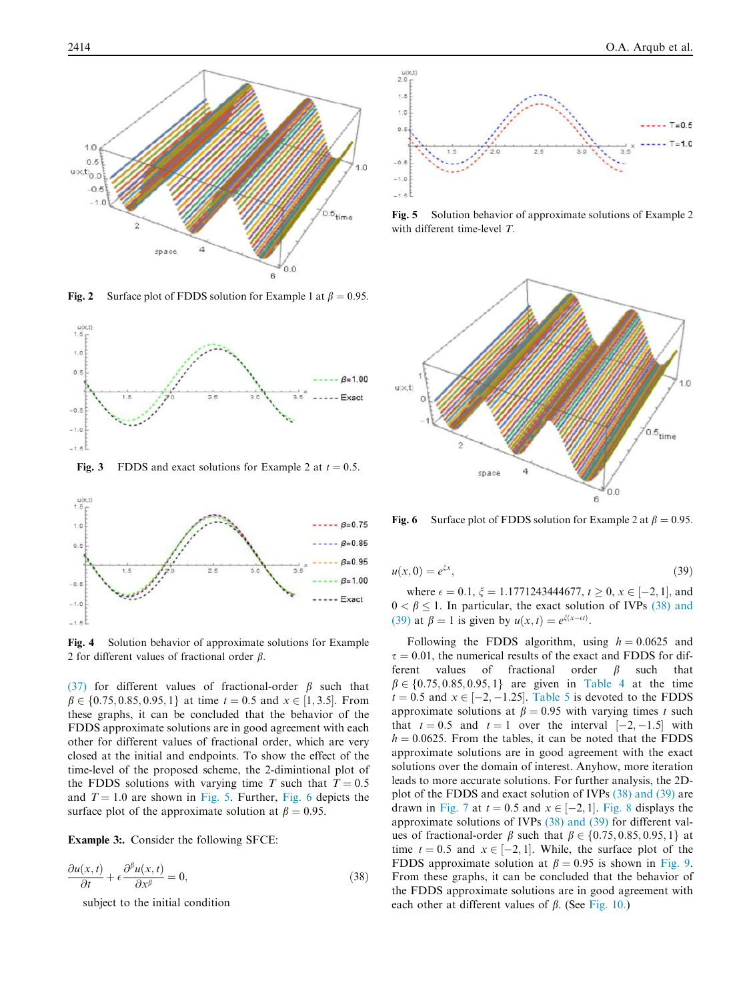

Fig. 2 Surface plot of FDDS solution for Example 1 at  $\beta = 0.95$ .



Fig. 3 FDDS and exact solutions for Example 2 at  $t = 0.5$ .



Fig. 4 Solution behavior of approximate solutions for Example 2 for different values of fractional order  $\beta$ .

(37) for different values of fractional-order  $\beta$  such that  $\beta \in \{0.75, 0.85, 0.95, 1\}$  at time  $t = 0.5$  and  $x \in [1, 3.5]$ . From these graphs, it can be concluded that the behavior of the FDDS approximate solutions are in good agreement with each other for different values of fractional order, which are very closed at the initial and endpoints. To show the effect of the time-level of the proposed scheme, the 2-dimintional plot of the FDDS solutions with varying time T such that  $T = 0.5$ and  $T = 1.0$  are shown in Fig. 5. Further, Fig. 6 depicts the surface plot of the approximate solution at  $\beta = 0.95$ .

Example 3:. Consider the following SFCE:

$$
\frac{\partial u(x,t)}{\partial t} + \epsilon \frac{\partial^{\beta} u(x,t)}{\partial x^{\beta}} = 0,
$$
\n(38)

subject to the initial condition



Fig. 5 Solution behavior of approximate solutions of Example 2 with different time-level T.



Fig. 6 Surface plot of FDDS solution for Example 2 at  $\beta = 0.95$ .

$$
u(x,0) = e^{\xi x},\tag{39}
$$

where  $\epsilon = 0.1$ ,  $\xi = 1.1771243444677$ ,  $t \ge 0$ ,  $x \in [-2, 1]$ , and  $0 < \beta \le 1$ . In particular, the exact solution of IVPs (38) and (39) at  $\beta = 1$  is given by  $u(x, t) = e^{\xi(x - \epsilon t)}$ .

Following the FDDS algorithm, using  $h = 0.0625$  and  $\tau = 0.01$ , the numerical results of the exact and FDDS for dif-<br>ferent values of fractional order  $\beta$  such that values of fractional  $\beta \in \{0.75, 0.85, 0.95, 1\}$  are given in Table 4 at the time  $t = 0.5$  and  $x \in [-2, -1.25]$ . Table 5 is devoted to the FDDS approximate solutions at  $\beta = 0.95$  with varying times t such that  $t = 0.5$  and  $t = 1$  over the interval  $[-2, -1.5]$  with  $h = 0.0625$ . From the tables, it can be noted that the FDDS approximate solutions are in good agreement with the exact solutions over the domain of interest. Anyhow, more iteration leads to more accurate solutions. For further analysis, the 2Dplot of the FDDS and exact solution of IVPs (38) and (39) are drawn in Fig. 7 at  $t = 0.5$  and  $x \in [-2, 1]$ . Fig. 8 displays the approximate solutions of IVPs (38) and (39) for different values of fractional-order  $\beta$  such that  $\beta \in \{0.75, 0.85, 0.95, 1\}$  at time  $t = 0.5$  and  $x \in [-2, 1]$ . While, the surface plot of the FDDS approximate solution at  $\beta = 0.95$  is shown in Fig. 9. From these graphs, it can be concluded that the behavior of the FDDS approximate solutions are in good agreement with each other at different values of  $\beta$ . (See Fig. 10.)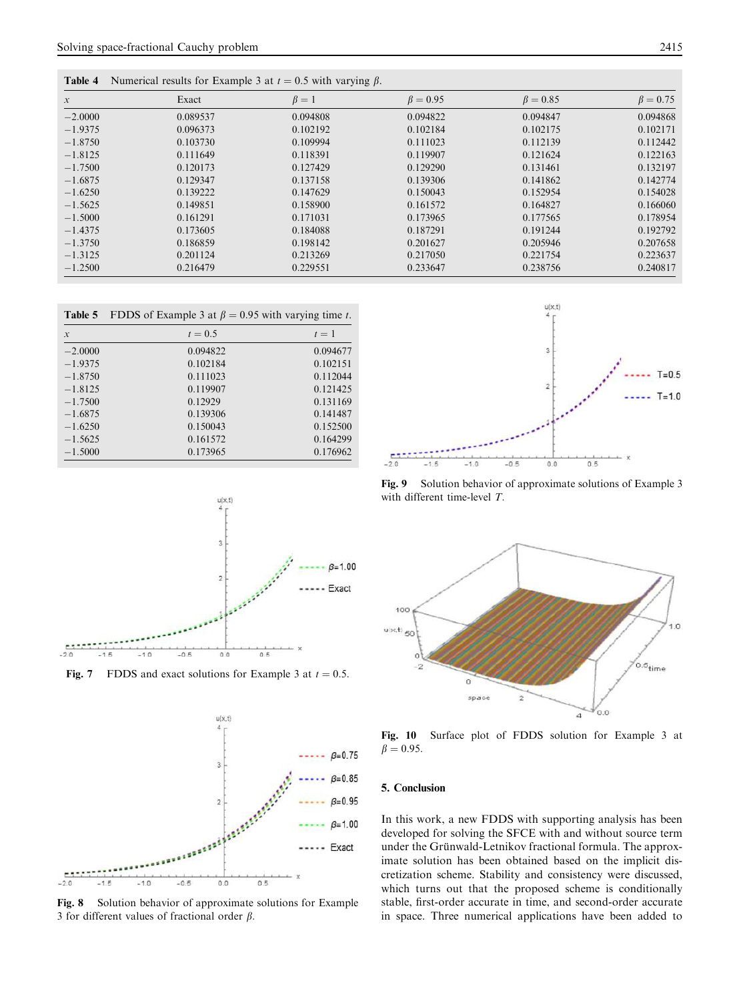| Table 4       | Numerical results for Example 3 at $t = 0.5$ with varying $\beta$ . |           |                |                |                |
|---------------|---------------------------------------------------------------------|-----------|----------------|----------------|----------------|
| $\mathcal{X}$ | Exact                                                               | $\beta=1$ | $\beta = 0.95$ | $\beta = 0.85$ | $\beta = 0.75$ |
| $-2.0000$     | 0.089537                                                            | 0.094808  | 0.094822       | 0.094847       | 0.094868       |
| $-1.9375$     | 0.096373                                                            | 0.102192  | 0.102184       | 0.102175       | 0.102171       |
| $-1.8750$     | 0.103730                                                            | 0.109994  | 0.111023       | 0.112139       | 0.112442       |
| $-1.8125$     | 0.111649                                                            | 0.118391  | 0.119907       | 0.121624       | 0.122163       |
| $-1.7500$     | 0.120173                                                            | 0.127429  | 0.129290       | 0.131461       | 0.132197       |
| $-1.6875$     | 0.129347                                                            | 0.137158  | 0.139306       | 0.141862       | 0.142774       |
| $-1.6250$     | 0.139222                                                            | 0.147629  | 0.150043       | 0.152954       | 0.154028       |
| $-1.5625$     | 0.149851                                                            | 0.158900  | 0.161572       | 0.164827       | 0.166060       |
| $-1.5000$     | 0.161291                                                            | 0.171031  | 0.173965       | 0.177565       | 0.178954       |
| $-1.4375$     | 0.173605                                                            | 0.184088  | 0.187291       | 0.191244       | 0.192792       |
| $-1.3750$     | 0.186859                                                            | 0.198142  | 0.201627       | 0.205946       | 0.207658       |
| $-1.3125$     | 0.201124                                                            | 0.213269  | 0.217050       | 0.221754       | 0.223637       |
| $-1.2500$     | 0.216479                                                            | 0.229551  | 0.233647       | 0.238756       | 0.240817       |

| Table 5       | FDDS of Example 3 at $\beta$ = 0.95 with varying time t. |          |  |
|---------------|----------------------------------------------------------|----------|--|
| $\mathcal{X}$ | $t = 0.5$                                                | $t=1$    |  |
| $-2.0000$     | 0.094822                                                 | 0.094677 |  |
| $-1.9375$     | 0.102184                                                 | 0.102151 |  |
| $-1.8750$     | 0.111023                                                 | 0.112044 |  |
| $-1.8125$     | 0.119907                                                 | 0.121425 |  |
| $-1.7500$     | 0.12929                                                  | 0.131169 |  |
| $-1.6875$     | 0.139306                                                 | 0.141487 |  |
| $-1.6250$     | 0.150043                                                 | 0.152500 |  |
| $-1.5625$     | 0.161572                                                 | 0.164299 |  |
| $-1.5000$     | 0.173965                                                 | 0.176962 |  |
|               |                                                          |          |  |



**Fig. 7** FDDS and exact solutions for Example 3 at  $t = 0.5$ .



Fig. 8 Solution behavior of approximate solutions for Example 3 for different values of fractional order  $\beta$ .



Fig. 9 Solution behavior of approximate solutions of Example 3 with different time-level  $T$ .



Fig. 10 Surface plot of FDDS solution for Example 3 at  $\beta = 0.95.$ 

#### 5. Conclusion

In this work, a new FDDS with supporting analysis has been developed for solving the SFCE with and without source term under the Grünwald-Letnikov fractional formula. The approximate solution has been obtained based on the implicit discretization scheme. Stability and consistency were discussed, which turns out that the proposed scheme is conditionally stable, first-order accurate in time, and second-order accurate in space. Three numerical applications have been added to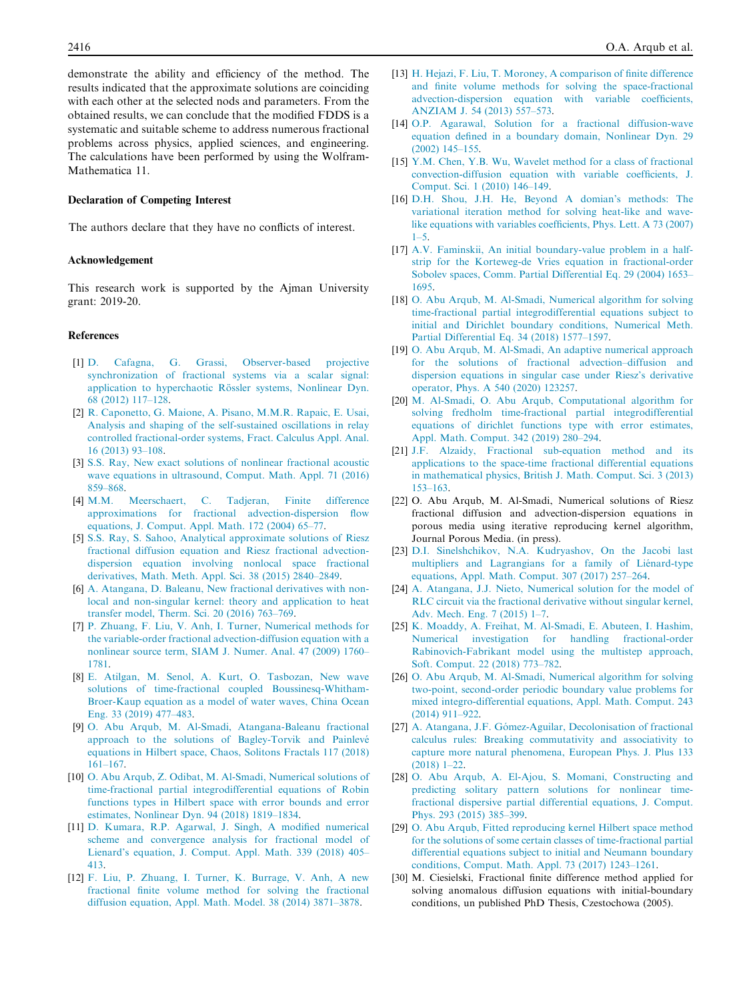demonstrate the ability and efficiency of the method. The results indicated that the approximate solutions are coinciding with each other at the selected nods and parameters. From the obtained results, we can conclude that the modified FDDS is a systematic and suitable scheme to address numerous fractional problems across physics, applied sciences, and engineering. The calculations have been performed by using the Wolfram-Mathematica 11.

#### Declaration of Competing Interest

The authors declare that they have no conflicts of interest.

#### Acknowledgement

This research work is supported by the Ajman University grant: 2019-20.

#### References

- [1] D. Cafagna, G. Grassi, Observer-based projective synchronization of fractional systems via a scalar signal: application to hyperchaotic Rössler systems, Nonlinear Dyn. 68 (2012) 117–128.
- [2] R. Caponetto, G. Maione, A. Pisano, M.M.R. Rapaic, E. Usai, Analysis and shaping of the self-sustained oscillations in relay controlled fractional-order systems, Fract. Calculus Appl. Anal. 16 (2013) 93–108.
- [3] S.S. Ray, New exact solutions of nonlinear fractional acoustic wave equations in ultrasound, Comput. Math. Appl. 71 (2016) 859–868.
- [4] M.M. Meerschaert, C. Tadjeran, Finite difference approximations for fractional advection-dispersion flow equations, J. Comput. Appl. Math. 172 (2004) 65–77.
- [5] S.S. Ray, S. Sahoo, Analytical approximate solutions of Riesz fractional diffusion equation and Riesz fractional advectiondispersion equation involving nonlocal space fractional derivatives, Math. Meth. Appl. Sci. 38 (2015) 2840–2849.
- [6] A. Atangana, D. Baleanu, New fractional derivatives with nonlocal and non-singular kernel: theory and application to heat transfer model, Therm. Sci. 20 (2016) 763–769.
- [7] P. Zhuang, F. Liu, V. Anh, I. Turner, Numerical methods for the variable-order fractional advection-diffusion equation with a nonlinear source term, SIAM J. Numer. Anal. 47 (2009) 1760– 1781.
- [8] E. Atilgan, M. Senol, A. Kurt, O. Tasbozan, New wave solutions of time-fractional coupled Boussinesq-Whitham-Broer-Kaup equation as a model of water waves, China Ocean Eng. 33 (2019) 477–483.
- [9] O. Abu Arqub, M. Al-Smadi, Atangana-Baleanu fractional approach to the solutions of Bagley-Torvik and Painlevé equations in Hilbert space, Chaos, Solitons Fractals 117 (2018) 161–167.
- [10] O. Abu Arqub, Z. Odibat, M. Al-Smadi, Numerical solutions of time-fractional partial integrodifferential equations of Robin functions types in Hilbert space with error bounds and error estimates, Nonlinear Dyn. 94 (2018) 1819–1834.
- [11] D. Kumara, R.P. Agarwal, J. Singh, A modified numerical scheme and convergence analysis for fractional model of Lienard's equation, J. Comput. Appl. Math. 339 (2018) 405– 413.
- [12] F. Liu, P. Zhuang, I. Turner, K. Burrage, V. Anh, A new fractional finite volume method for solving the fractional diffusion equation, Appl. Math. Model. 38 (2014) 3871–3878.
- [13] H. Hejazi, F. Liu, T. Moroney, A comparison of finite difference and finite volume methods for solving the space-fractional advection-dispersion equation with variable coefficients, ANZIAM J. 54 (2013) 557–573.
- [14] O.P. Agarawal, Solution for a fractional diffusion-wave equation defined in a boundary domain, Nonlinear Dyn. 29 (2002) 145–155.
- [15] Y.M. Chen, Y.B. Wu, Wavelet method for a class of fractional convection-diffusion equation with variable coefficients, J. Comput. Sci. 1 (2010) 146–149.
- [16] D.H. Shou, J.H. He, Beyond A domian's methods: The variational iteration method for solving heat-like and wavelike equations with variables coefficients, Phys. Lett. A 73 (2007)  $1 - 5$ .
- [17] A.V. Faminskii, An initial boundary-value problem in a halfstrip for the Korteweg-de Vries equation in fractional-order Sobolev spaces, Comm. Partial Differential Eq. 29 (2004) 1653– 1695.
- [18] O. Abu Arqub, M. Al-Smadi, Numerical algorithm for solving time-fractional partial integrodifferential equations subject to initial and Dirichlet boundary conditions, Numerical Meth. Partial Differential Eq. 34 (2018) 1577–1597.
- [19] O. Abu Arqub, M. Al-Smadi, An adaptive numerical approach for the solutions of fractional advection–diffusion and dispersion equations in singular case under Riesz's derivative operator, Phys. A 540 (2020) 123257.
- [20] M. Al-Smadi, O. Abu Arqub, Computational algorithm for solving fredholm time-fractional partial integrodifferential equations of dirichlet functions type with error estimates, Appl. Math. Comput. 342 (2019) 280–294.
- [21] J.F. Alzaidy, Fractional sub-equation method and its applications to the space-time fractional differential equations in mathematical physics, British J. Math. Comput. Sci. 3 (2013) 153–163.
- [22] O. Abu Arqub, M. Al-Smadi, Numerical solutions of Riesz fractional diffusion and advection-dispersion equations in porous media using iterative reproducing kernel algorithm, Journal Porous Media. (in press).
- [23] D.I. Sinelshchikov, N.A. Kudryashov, On the Jacobi last multipliers and Lagrangians for a family of Liénard-type equations, Appl. Math. Comput. 307 (2017) 257–264.
- [24] A. Atangana, J.J. Nieto, Numerical solution for the model of RLC circuit via the fractional derivative without singular kernel, Adv. Mech. Eng. 7 (2015) 1–7.
- [25] K. Moaddy, A. Freihat, M. Al-Smadi, E. Abuteen, I. Hashim, Numerical investigation for handling fractional-order Rabinovich-Fabrikant model using the multistep approach, Soft. Comput. 22 (2018) 773–782.
- [26] O. Abu Arqub, M. Al-Smadi, Numerical algorithm for solving two-point, second-order periodic boundary value problems for mixed integro-differential equations, Appl. Math. Comput. 243 (2014) 911–922.
- [27] A. Atangana, J.F. Gómez-Aguilar, Decolonisation of fractional calculus rules: Breaking commutativity and associativity to capture more natural phenomena, European Phys. J. Plus 133 (2018) 1–22.
- [28] O. Abu Arqub, A. El-Ajou, S. Momani, Constructing and predicting solitary pattern solutions for nonlinear timefractional dispersive partial differential equations, J. Comput. Phys. 293 (2015) 385–399.
- [29] O. Abu Arqub, Fitted reproducing kernel Hilbert space method for the solutions of some certain classes of time-fractional partial differential equations subject to initial and Neumann boundary conditions, Comput. Math. Appl. 73 (2017) 1243–1261.
- [30] M. Ciesielski, Fractional finite difference method applied for solving anomalous diffusion equations with initial-boundary conditions, un published PhD Thesis, Czestochowa (2005).